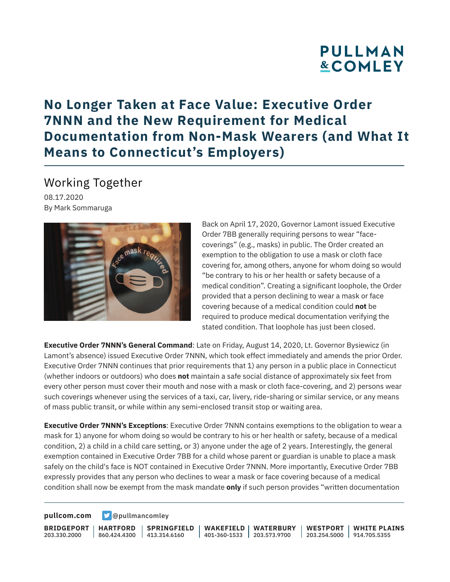# **PULLMAN &COMLEY**

# **No Longer Taken at Face Value: Executive Order 7NNN and the New Requirement for Medical Documentation from Non-Mask Wearers (and What It Means to Connecticut's Employers)**

### Working Together

08.17.2020 By Mark Sommaruga



Back on April 17, 2020, Governor Lamont issued Executive Order 7BB generally requiring persons to wear "facecoverings" (e.g., masks) in public. The Order created an exemption to the obligation to use a mask or cloth face covering for, among others, anyone for whom doing so would "be contrary to his or her health or safety because of a medical condition". Creating a significant loophole, the Order provided that a person declining to wear a mask or face covering because of a medical condition could **not** be required to produce medical documentation verifying the stated condition. That loophole has just been closed.

**Executive Order 7NNN's General Command**: Late on Friday, August 14, 2020, Lt. Governor Bysiewicz (in Lamont's absence) issued Executive Order 7NNN, which took effect immediately and amends the prior Order. Executive Order 7NNN continues that prior requirements that 1) any person in a public place in Connecticut (whether indoors or outdoors) who does **not** maintain a safe social distance of approximately six feet from every other person must cover their mouth and nose with a mask or cloth face-covering, and 2) persons wear such coverings whenever using the services of a taxi, car, livery, ride-sharing or similar service, or any means of mass public transit, or while within any semi-enclosed transit stop or waiting area.

**Executive Order 7NNN's Exceptions**: Executive Order 7NNN contains exemptions to the obligation to wear a mask for 1) anyone for whom doing so would be contrary to his or her health or safety, because of a medical condition, 2) a child in a child care setting, or 3) anyone under the age of 2 years. Interestingly, the general exemption contained in Executive Order 7BB for a child whose parent or guardian is unable to place a mask safely on the child's face is NOT contained in Executive Order 7NNN. More importantly, Executive Order 7BB expressly provides that any person who declines to wear a mask or face covering because of a medical condition shall now be exempt from the mask mandate **only** if such person provides "written documentation

**[pullcom.com](https://www.pullcom.com) g** [@pullmancomley](https://twitter.com/PullmanComley)

**BRIDGEPORT HARTFORD** 203.330.2000

860.424.4300 413.314.6160 **SPRINGFIELD** **WAKEFIELD WATERBURY** 401-360-1533 203.573.9700 **WESTPORT WHITE PLAINS**

203.254.5000 914.705.5355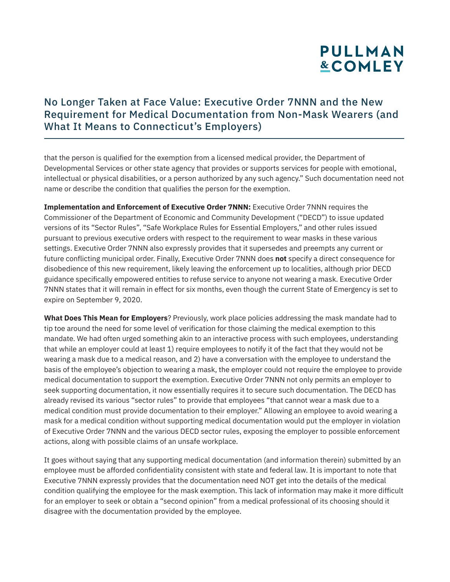# **PULLMAN &COMLEY**

### No Longer Taken at Face Value: Executive Order 7NNN and the New Requirement for Medical Documentation from Non-Mask Wearers (and What It Means to Connecticut's Employers)

that the person is qualified for the exemption from a licensed medical provider, the Department of Developmental Services or other state agency that provides or supports services for people with emotional, intellectual or physical disabilities, or a person authorized by any such agency." Such documentation need not name or describe the condition that qualifies the person for the exemption.

**Implementation and Enforcement of Executive Order 7NNN:** Executive Order 7NNN requires the Commissioner of the Department of Economic and Community Development ("DECD") to issue updated versions of its "Sector Rules", "Safe Workplace Rules for Essential Employers," and other rules issued pursuant to previous executive orders with respect to the requirement to wear masks in these various settings. Executive Order 7NNN also expressly provides that it supersedes and preempts any current or future conflicting municipal order. Finally, Executive Order 7NNN does **not** specify a direct consequence for disobedience of this new requirement, likely leaving the enforcement up to localities, although prior DECD guidance specifically empowered entities to refuse service to anyone not wearing a mask. Executive Order 7NNN states that it will remain in effect for six months, even though the current State of Emergency is set to expire on September 9, 2020.

**What Does This Mean for Employers**? Previously, work place policies addressing the mask mandate had to tip toe around the need for some level of verification for those claiming the medical exemption to this mandate. We had often urged something akin to an interactive process with such employees, understanding that while an employer could at least 1) require employees to notify it of the fact that they would not be wearing a mask due to a medical reason, and 2) have a conversation with the employee to understand the basis of the employee's objection to wearing a mask, the employer could not require the employee to provide medical documentation to support the exemption. Executive Order 7NNN not only permits an employer to seek supporting documentation, it now essentially requires it to secure such documentation. The DECD has already revised its various "sector rules" to provide that employees "that cannot wear a mask due to a medical condition must provide documentation to their employer." Allowing an employee to avoid wearing a mask for a medical condition without supporting medical documentation would put the employer in violation of Executive Order 7NNN and the various DECD sector rules, exposing the employer to possible enforcement actions, along with possible claims of an unsafe workplace.

It goes without saying that any supporting medical documentation (and information therein) submitted by an employee must be afforded confidentiality consistent with state and federal law. It is important to note that Executive 7NNN expressly provides that the documentation need NOT get into the details of the medical condition qualifying the employee for the mask exemption. This lack of information may make it more difficult for an employer to seek or obtain a "second opinion" from a medical professional of its choosing should it disagree with the documentation provided by the employee.